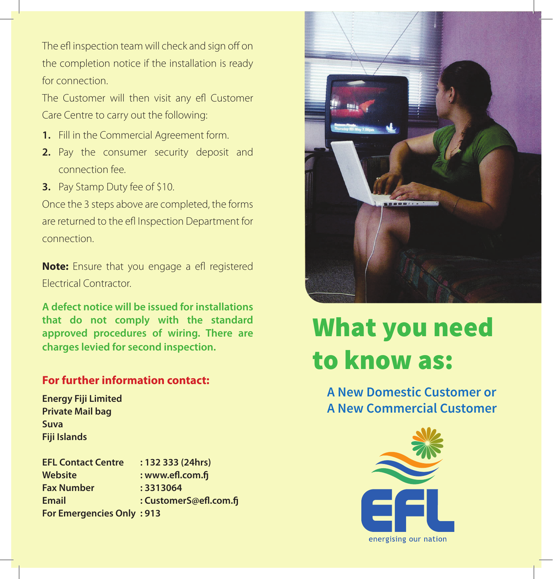The efl inspection team will check and sign off on the completion notice if the installation is ready for connection.

The Customer will then visit any efl Customer Care Centre to carry out the following:

- **1.** Fill in the Commercial Agreement form.
- **2.** Pay the consumer security deposit and connection fee.
- **3.** Pay Stamp Duty fee of \$10.

Once the 3 steps above are completed, the forms are returned to the efl Inspection Department for connection.

**Note:** Ensure that you engage a efl registered Electrical Contractor.

**A defect notice will be issued for installations that do not comply with the standard approved procedures of wiring. There are charges levied for second inspection.**

## **For further information contact:**

**Energy Fiji Limited Private Mail bag Suva Fiji Islands**

**EFL Contact Centre : 132 333 (24hrs) Website : www.efl.com.fj Fax Number : 3313064 Email** : CustomerS@efl.com.fj **For Emergencies Only : 913**



# What you need to know as:

**A New Domestic Customer or A New Commercial Customer**